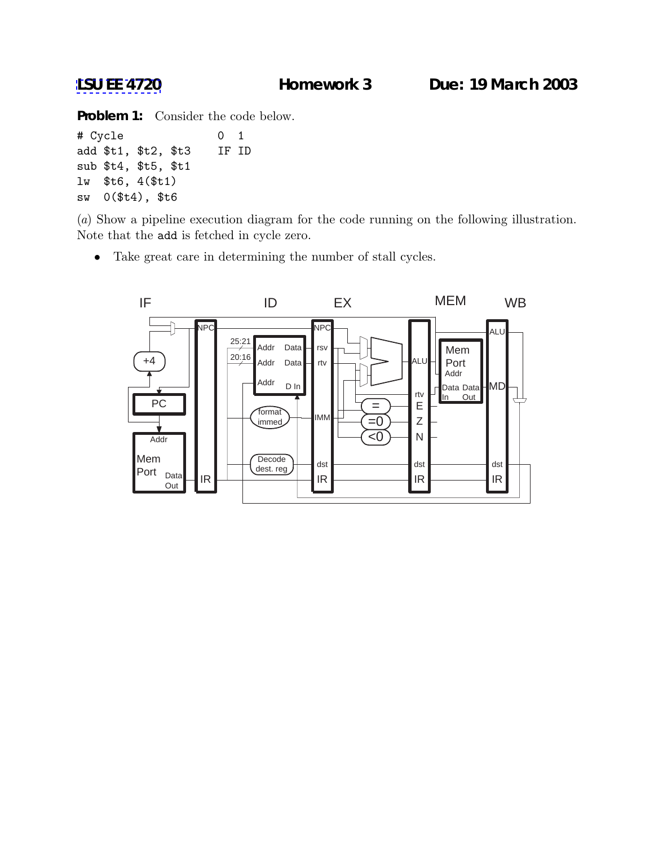**[LSU EE 4720](http://www.ece.lsu.edu/ee4720/) Homework 3 Due: 19 March 2003**

**Problem 1:** Consider the code below.

```
# Cycle 0 1
add $t1, $t2, $t3 IF ID
sub $t4, $t5, $t1
lw $t6, 4($t1)
sw 0($t4), $t6
```
(*a*) Show a pipeline execution diagram for the code running on the following illustration. Note that the add is fetched in cycle zero.

• Take great care in determining the number of stall cycles.

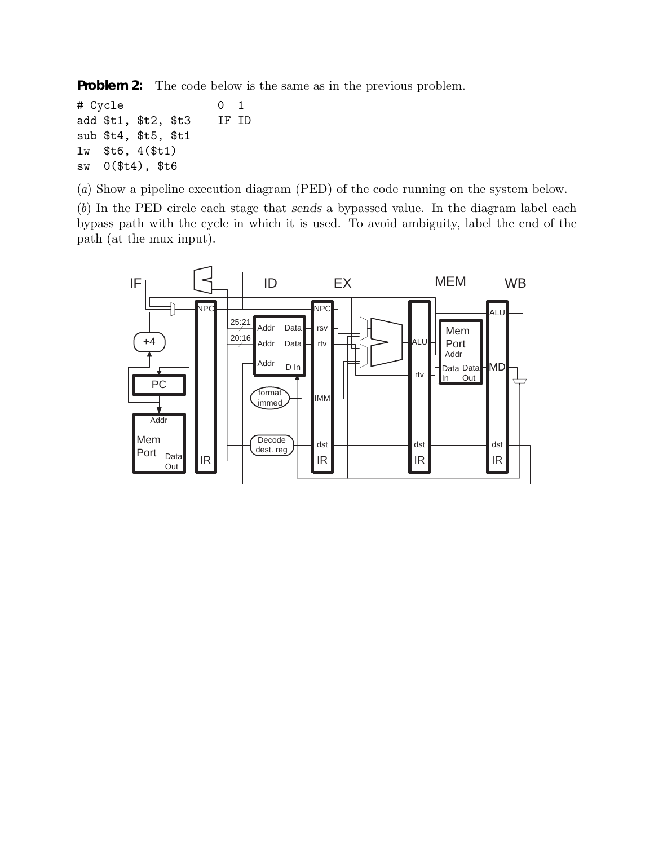**Problem 2:** The code below is the same as in the previous problem.

# Cycle 0 1 add \$t1, \$t2, \$t3 IF ID sub \$t4, \$t5, \$t1 lw \$t6, 4(\$t1) sw 0(\$t4), \$t6

(*a*) Show a pipeline execution diagram (PED) of the code running on the system below.

(*b*) In the PED circle each stage that sends a bypassed value. In the diagram label each bypass path with the cycle in which it is used. To avoid ambiguity, label the end of the path (at the mux input).

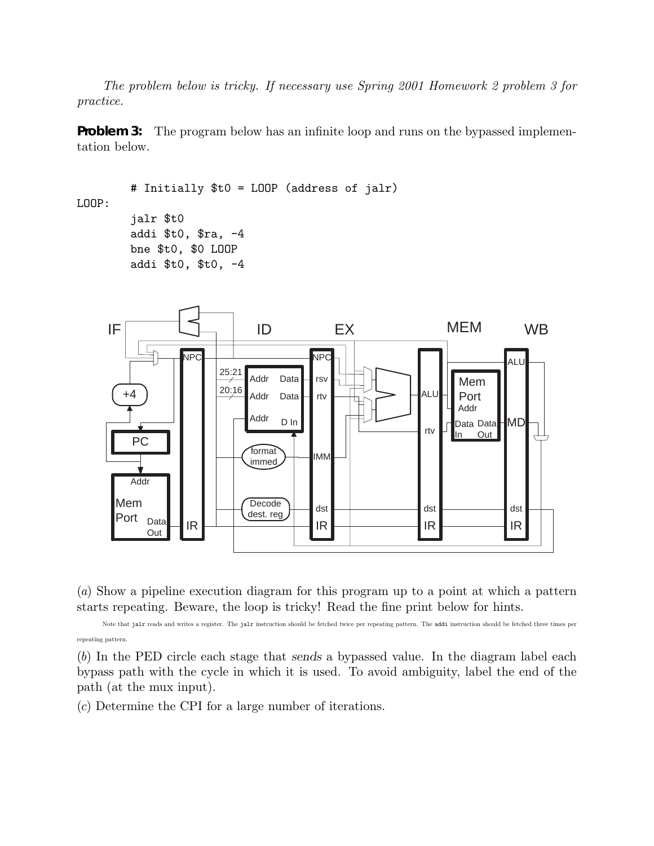*The problem below is tricky. If necessary use Spring 2001 Homework 2 problem 3 for practice.*

**Problem 3:** The program below has an infinite loop and runs on the bypassed implementation below.

```
# Initially $t0 = LOOP (address of jalr)
LOOP:
        jalr $t0
        addi $t0, $ra, -4
        bne $t0, $0 LOOP
        addi $t0, $t0, -4
```


(*a*) Show a pipeline execution diagram for this program up to a point at which a pattern starts repeating. Beware, the loop is tricky! Read the fine print below for hints.

Note that jalr reads and writes a register. The jalr instruction should be fetched twice per repeating pattern. The addi instruction should be fetched three times per repeating pattern.

(*b*) In the PED circle each stage that sends a bypassed value. In the diagram label each bypass path with the cycle in which it is used. To avoid ambiguity, label the end of the path (at the mux input).

(*c*) Determine the CPI for a large number of iterations.